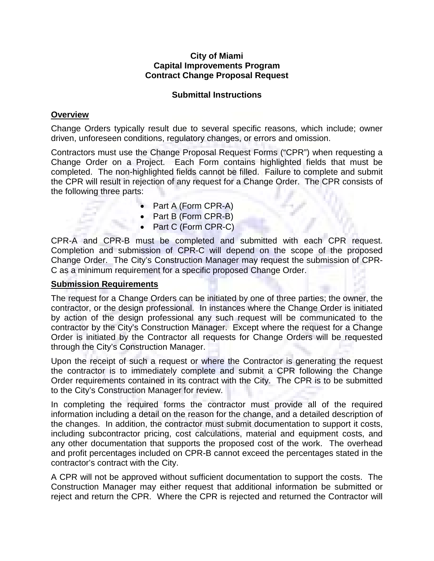## **City of Miami Capital Improvements Program Contract Change Proposal Request**

## **Submittal Instructions**

## **Overview**

Change Orders typically result due to several specific reasons, which include; owner driven, unforeseen conditions, regulatory changes, or errors and omission.

Contractors must use the Change Proposal Request Forms ("CPR") when requesting a Change Order on a Project. Each Form contains highlighted fields that must be completed. The non-highlighted fields cannot be filled. Failure to complete and submit the CPR will result in rejection of any request for a Change Order. The CPR consists of the following three parts:

- Part A (Form CPR-A)
- Part B (Form CPR-B)
- Part C (Form CPR-C)

CPR-A and CPR-B must be completed and submitted with each CPR request. Completion and submission of CPR-C will depend on the scope of the proposed Change Order. The City's Construction Manager may request the submission of CPR-C as a minimum requirement for a specific proposed Change Order.

## **Submission Requirements**

The request for a Change Orders can be initiated by one of three parties; the owner, the contractor, or the design professional. In instances where the Change Order is initiated by action of the design professional any such request will be communicated to the contractor by the City's Construction Manager. Except where the request for a Change Order is initiated by the Contractor all requests for Change Orders will be requested through the City's Construction Manager.

Upon the receipt of such a request or where the Contractor is generating the request the contractor is to immediately complete and submit a CPR following the Change Order requirements contained in its contract with the City. The CPR is to be submitted to the City's Construction Manager for review.

In completing the required forms the contractor must provide all of the required information including a detail on the reason for the change, and a detailed description of the changes. In addition, the contractor must submit documentation to support it costs, including subcontractor pricing, cost calculations, material and equipment costs, and any other documentation that supports the proposed cost of the work. The overhead and profit percentages included on CPR-B cannot exceed the percentages stated in the contractor's contract with the City.

A CPR will not be approved without sufficient documentation to support the costs. The Construction Manager may either request that additional information be submitted or reject and return the CPR. Where the CPR is rejected and returned the Contractor will